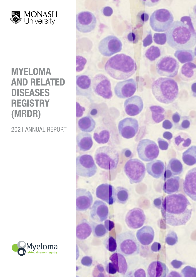

## MYELOMA AND RELATED **DISEASES REGISTRY** (MRDR)

2021 ANNUAL REPORT



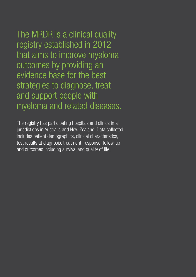The MRDR is a clinical quality registry established in 2012 that aims to improve myeloma outcomes by providing an evidence base for the best strategies to diagnose, treat and support people with myeloma and related diseases.

The registry has participating hospitals and clinics in all jurisdictions in Australia and New Zealand. Data collected includes patient demographics, clinical characteristics, test results at diagnosis, treatment, response, follow-up and outcomes including survival and quality of life.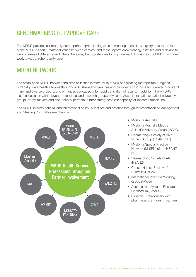## BENCHMARKING TO IMPROVE CARE

The MRDR provides six-monthly data reports to participating sites comparing each site's registry data to the rest of the MRDR cohort. Treatment varies between centres, and these reports allow treating institutes and clinicians to identify areas of difference and where there may be opportunities for improvement. In this way the MRDR facilitates work towards higher quality care.

## MRDR NETWORK

The established MRDR network and data collection infrastructure of >50 participating metropolitan & regional, public & private health services throughout Australia and New Zealand provides a solid base from which to conduct many and diverse projects, and enhances our capacity for rapid translation of results. In addition, the MRDR's close association with relevant professional and research groups, Myeloma Australia (a national patient advocacy group), policy-makers and and industry partners, further strengthens our capacity for research translation.

The MRDR informs national and international policy, guidelines and practice through representation of Management and Steering Committee members in:



- Myeloma Australia
- Myeloma Australia Medical Scientific Advisory Group (MSAG)
- Haematology Society of ANZ Nursing Group (HSANZ NG)
- Myeloma Special Practice Network (M-SPN) of the HSANZ NG
- Haematology Society of ANZ (HSANZ)
- Cancer Nurses Society of Australia (CNSA)
- International Myeloma Working Group (IMWG)
- Australasian Myeloma Research Consortium (AMaRC)
- Synergistic relationship with pharmaceutical industry partners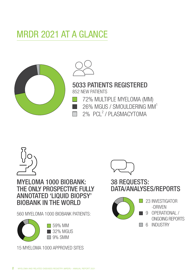# MRDR 2021 AT A GLANCE





5033 PATIENTS REGISTERED 852 NEW PATIENTS

- 72% MULTIPLE MYELOMA (MM)
- 26% MGUS / SMOULDERING MM1
- 2% PCL<sup>2</sup> / PLASMACYTOMA



## MYELOMA 1000 BIOBANK: THE ONLY PROSPECTIVE FULLY ANNOTATED 'LIQUID BIOPSY' BIOBANK IN THE WORLD

560 MYELOMA 1000 BIOBANK PATIENTS:



59% MM 32% MGUS  $\Box$  9% SMM

15 MYELOMA 1000 APPROVED SITES



## 38 REQUESTS: DATA/ANALYSES/REPORTS



- **23 INVESTIGATOR** -DRIVEN
	- 9 OPERATIONAL / ONGOING REPORTS
- **6 INDUSTRY**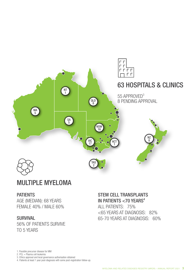

## MULTIPLE MYELOMA

## **PATIENTS**

AGE (MEDIAN): 68 YEARS FEMALE 40% / MALE 60%

## SURVIVAL

56% OF PATIENTS SURVIVE TO 5 YEARS

## STEM CELL TRANSPLANTS IN PATIENTS  $<$  70 YEARS<sup>4</sup>

ALL PATIENTS: 75% <65 YEARS AT DIAGNOSIS: 82% 65-70 YEARS AT DIAGNOSIS: 60%

1. Possible precursor disease for MM

2. PCL = Plasma cell leukemia

- 3. Ethics approval and local governance authorisation obtained
- 4. Patients at least 1 year post-diagnosis with some post-registration follow-up.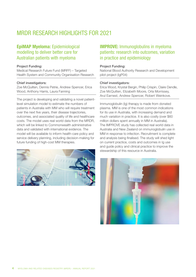## MRDR RESEARCH HIGHLIGHTS FOR 2021

## EpiMAP Myeloma: Epidemiological modelling to deliver better care for Australian patients with myeloma

### Project Funding:

Medical Research Future Fund (MRFF) – Targeted Health System and Community Organisation Research

#### Chief investigators:

Zoe McQuilten, Dennis Petrie, Andrew Spencer, Erica Wood, Anthony Harris, Laura Fanning

The project is developing and validating a novel patientlevel simulation model to estimate the numbers of patients in Australia with MM who will require treatment over the next five years, their disease trajectories, outcomes, and associated quality of life and healthcare costs. The model uses real world data from the MRDR, which will be linked to Commonwealth administrative data and validated with international evidence. The model will be available to inform health-care policy and service delivery planning, including decision-making for future funding of high-cost MM therapies.



## IMPROVE: Immunoglobulins in myeloma patients: research into outcomes, variation in practice and epidemiology

#### Project Funding:

National Blood Authority Research and Development pilot project (IgP04)

#### Chief investigators:

Erica Wood, Krystal Bergin, Philip Crispin, Claire Dendle, Zoe McQuilten, Elizabeth Moore, Orla Morrissey, Arul Earnest, Andrew Spencer, Robert Weinkove.

Immunoglobulin (Ig) therapy is made from donated plasma. MM is one of the most common indications for its use in Australia, with increasing demand and much variation in practice. It is also costly (over \$60 million dollars spent annually in MM in Australia). The IMPROVE study has collected real world data in Australia and New Zealand on immunoglobulin use in MM in response to infection. Recruitment is complete and analysis being finalised. The study will shed light on current practice, costs and outcomes in Ig use and guide policy and clinical practice to improve the stewardship of this resource in Australia.

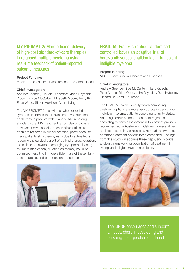MY-PROMPT-2: More efficient delivery of high-cost standard-of-care therapies in relapsed multiple myeloma using real-time feedback of patient-reported outcome measures

### Project Funding:

MRFF – Rare Cancers, Rare Diseases and Unmet Needs

#### Chief investigators:

Andrew Spencer, Claudia Rutherford, John Reynolds, P Joy Ho, Zoe McQuilten, Elizabeth Moore, Tracy King, Erica Wood, Simon Harrison, Adam Irving.

The MY-PROMPT-2 trial will test whether real-time symptom feedback to clinicians improves duration on therapy in patients with relapsed MM receiving standard care. MM treatment is complex and costly, however survival benefits seen in clinical trials are often not reflected in clinical practice, partly because many patients stop therapy early due to side-effects, reducing the survival benefit of optimal therapy duration. If clinicians are aware of emerging symptoms, leading to timely intervention, duration on therapy could be optimised, resulting in more efficient use of these highcost therapies, and better patient outcomes.

## FRAIL-M: Frailty-stratified randomised controlled bayesian adaptive trial of bortezomib versus lenalidomide in transplantineligible myeloma

#### Project Funding:

MRFF – Low Survival Cancers and Diseases

#### Chief investigators:

Andrew Spencer, Zoe McQuilten, Hang Quach, Peter Mollee, Erica Wood, John Reynolds, Ruth Hubbard, Richard De Abreu Lourenco.

The FRAIL-M trial will identify which competing treatment options are more appropriate in transplantineligible myeloma patients according to frailty status. Adapting certain standard treatment regimens according to frailty assessment in this patient group is recommended in Australian guidelines, however it had not been tested in a clinical trial, nor had the two most common treatment options been compared. Findings from this study will address these gaps, and provide a robust framework for optimisation of treatment in transplant-ineligible myeloma patients.





The MRDR encourages and supports all researchers in developing and pursuing their question of interest.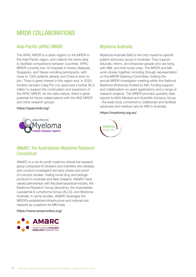## MRDR COLLABORATIONS

## Asia-Pacific (APAC) MRDR

The APAC MRDR is a sister registry to the MRDR in the Asia-Pacific region, and collects the same data to facilitate comparisons between countries. APAC MRDR currently has 19 hospitals in Korea, Malaysia, Singapore, and Taiwan enrolling participants, with close to 1000 patients already and China is soon to join. There is great interest in this region and, in 2020, funders Janssen-Cilag Pty Ltd, approved a further \$5.3 million to support the continuation and expansion of the APAC MRDR. As the data mature, there is great potential for future collaborations with the ANZ MRDR and other research groups.

### <https://apacmrdr.org/>



## Myeloma Australia

Myeloma Australia (MA) is the only myeloma-specific patient advocacy group in Australia. They support, educate, inform, and empower people who are living with MM, and their loved ones. The MRDR and MA work closely together, including through representation on the MRDR Steering Committee, holding the annual MRDR investigator meeting within the National Myeloma Workshop hosted by MA, funding support, and collaboration on grant applications and a range of research projects. The MRDR provides quarterly data reports to MA's Medical and Scientific Advisory Group - the peak body convened to collaborate and facilitate advances and medical care for MM in Australia.

### <https://myeloma.org.au/>



## AMaRC: the Australasian Myeloma Research Consortium

AMaRC is a not-for-profit myeloma clinical trial research group composed of clinicians and scientists who develop and conduct investigator-led early phase and proofof-concept studies, trialing novel drug and biologic products in Australia and New Zealand. AMaRC have valued partnerships with the pharmaceutical industry, the Myeloma Research Group laboratory, the Australasian Leukaemia & Lymphoma Group (ALLG), and Myeloma Australia. In some studies, AMaRC leverages the MRDR's established infrastructure and national site network as a platform for MM trials.

### <https://www.amarconline.org/>

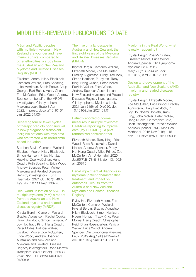## MRDR PEER-REVIEWED PUBLICATIONS TO DATE

Māori and Pacific peoples with multiple myeloma in New Zealand are younger and have inferior survival compared to other ethnicities: a study from the Australian and New Zealand Myeloma and Related Diseases Registry (MRDR)

Elizabeth Moore, Hilary Blacklock, Cameron Wellard, Ruth Spearing, Luke Merriman, Sarah Poplar, Anup George, Bart Baker, Henry Chan, Zoe McQuilten, Erica Wood, Andrew Spencer on behalf of the MRDR investigators. Clin Lymphoma Myeloma Leuk. Epub 8 Apr 2022, in press. [doi.org/10.1016/j.](https://www.clinical-lymphoma-myeloma-leukemia.com/article/S2152-2650(22)00118-5/fulltext) [clml.2022.04.004](https://www.clinical-lymphoma-myeloma-leukemia.com/article/S2152-2650(22)00118-5/fulltext) 

Receiving four or fewer cycles of therapy predicts poor survival in newly diagnosed transplantineligible patients with myeloma who are treated with bortezomibbased induction.

Stephen Boyle, Cameron Wellard, Elizabeth Moore, Hilary Blacklock, Simon Harrison, P Joy Ho, Jay Hocking, Zoe McQuilten, Hang Quach, Ruth Spearing, Erica Wood, Andrew Spencer, Peter Mollee, Myeloma and Related Diseases Registry investigators. Eur J Haematol. 2021 Oct;107(4):497- 499. doi: 10.1111/ejh.13677u

### Real-world utilisation of ASCT in multiple myeloma (MM): a report from the Australian and New Zealand myeloma and related diseases registry (MRDR).

Krystal Bergin, Cameron Wellard, Bradley Augustson, Rachel Cooke, Hilary Blacklock, Simon Harrison, P Joy Ho, Tracy King, Hang Quach, Peter Mollee, Patricia Walker, Elizabeth Moore, Zoe McQuilten, Erica Wood, Andrew Spencer, Australian and New Zealand Myeloma and Related Diseases Registry investigators. Bone Marrow Transplant. 2021 Oct;56(10):2533- 2543. doi: 10.1038/s41409-021- 01308-8

### The myeloma landscape in Australia and New Zealand: the first eight years of the Myeloma and Related Diseases Registry (MRDR).

Krystal Bergin, Cameron Wellard, Elizabeth Moore, Zoe McQuilten, Bradley Augustson, Hilary Blacklock, Simon Harrison, P Joy Ho, Tracy King, Hang Quach, Peter Mollee, Patricia Walker, Erica Wood, Andrew Spencer, Australian and New Zealand Myeloma and Related Diseases Registry investigators. Clin Lymphoma Myeloma Leuk. 2021 Jun;21(6):e510-e520. doi: 10.1016/j.clml.2021.01.01

### Patient-reported outcome measures in multiple myeloma: Real-time reporting to improve care (My-PROMPT) - a pilot randomized controlled trial.

Elizabeth Moore, Tracy King, Erica Wood, Rasa Ruseckaite, Daniela Klarica, Andrew Spencer, P Joy Ho, Hang Quach, Miles Prince, Zoe McQuilten. Am J Hematol. 2020 Jul;95(7):E178-E181. doi: 10.1002/ ajh.25815.

### Renal impairment at diagnosis in myeloma: patient characteristics, treatment, and impact on outcomes. Results from the Australia and New Zealand Myeloma and Related Diseases Registry.

P Joy Ho, Elizabeth Moore, Zoe McQuilten, Cameron Wellard, Krystal Bergin, Bradley Augustson, Hilary Blacklock, Simon Harrison, Noemi Horvath, Tracy King, Peter Mollee, Hang Quach, Christopher Reid, Brian Rosengarten, Patricia Walker, Erica Wood, Andrew Spencer. Clin Lymphoma Myeloma Leuk. 2019 Aug;19(8):e415-e424. doi: 10.1016/j.clml.2019.05.010.

### Myeloma in the Real World: what is really happening?

Krystal Bergin, Zoe McQuilten, Elizabeth Moore, Erica Wood, Andrew Spencer. Clin Lymphoma Myeloma Leuk. 2017 Mar;17(3):133-144.e1. doi: 10.1016/j.clml.2016.12.002.

### Design and development of the Australian and New Zealand (ANZ) myeloma and related diseases registry.

Krystal Bergin, Elizabeth Moore, Zoe McQuilten, Erica Wood, Bradley Augustson, Hilary Blacklock, P Joy Ho, Noemi Horvath, Tracy King, John McNeil, Peter Mollee, Hang Quach, Christopher Reid, Brian Rosengarten, Patricia Walker, Andrew Spencer. BMC Med Res Methodol. 2016 Nov 9;16(1):151. doi: 10.1186/s12874-016-0250-z.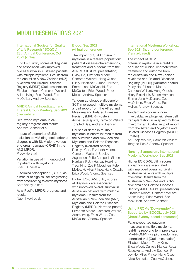## MRDR PRESENTATIONS 2021

### International Society for Quality of Life Research (ISOQOL) 28th Annual Conference, Oct 2021 (virtual)

EQ-5D-5L utility scores at diagnosis and association with improved overall survival in Australian patients with multiple myeloma: Results from the Australian & New Zealand (ANZ) Myeloma and Related Diseases Registry (MRDR) (Oral presentation). Elizabeth Moore, Cameron Wellard, Adam Irving, Erica Wood, Zoe McQuilten, Andrew Spencer.

#### MRDR Annual Investigator and Interest Group Meeting, Sep 2021 (live webinar)

Real world myeloma in ANZ: registry progress and results. Andrew Spencer et al.

Impact of biomarker (SLiM) inclusion to MM diagnostic criteria: diagnosis with SLiM alone versus end organ damage (CRAB) in the ANZ MRDR.

P Joy Ho et al.

Variation in use of Immunoglobulin in patients with myeloma. Khai Li Chai et al.

C-terminal telopeptide 1 (CTX-1) as a marker of high risk for progressing from smouldering to active myeloma. Kate Vandyke et al.

Asia-Pacific MRDR: progress and results. Naomi Aoki et al.

### Blood, Sep 2021 (virtual conference)

The impact of SLiM criteria in myeloma in a real-life population: patient & disease characteristics, treatment and outcome from the ANZ MRDR (Oral presentation) P Joy Ho, Elizabeth Moore, Cameron Wellard, Hang Quach, Hilary Blacklock, Simon Harrison, Emma-Jane McDonald, Zoe McQuilten, Erica Wood, Peter Mollee, Andrew Spencer.

Tandem autologous-allogeneic-SCT in relapsed multiple myeloma: a joint report from the Alfred and Myeloma and Related Diseases Registry (MRDR) (Poster) Aditya Tedjaseputra, Cameron Wellard, Tongted Das, Andrew Spencer.

Causes of death in multiple myeloma in Australia: results from the Australian and New Zealand Myeloma and Related Diseases Registry (Narrated poster) Rosalyn Cao, Elizabeth Moore, Cameron Wellard, Bradley Augustson, Philip Campbell, Simon Harrison, P Joy Ho, Jay Hocking, Tracy King, Zoe K McQuilten, Peter Mollee, H. Miles Prince, Hang Quach, Erica Wood, Andrew Spencer.

Higher EQ-5D-5L utility scores at diagnosis are associated with improved overall survival in Australian patients with multiple myeloma: Results from the Australian & New Zealand (ANZ) Myeloma and Related Diseases Registry (MRDR) (Narrated poster) Elizabeth Moore, Cameron Wellard, Adam Irving, Erica Wood, Zoe McQuilten, Andrew Spencer.

### International Myeloma Workshop, Sep 2021 (hybrid conference, Vienna-based)

The impact of SLiM criteria in myeloma in a real-life population: clinical characteristics, treatment and outcome from the Australian and New Zealand Myeloma and Related Diseases Registry (MRDR) (Narrated poster) P Joy Ho, Elizabeth Moore, Cameron Wellard, Hang Quach, Hilary Blacklock, Simon Harrison, Emma-Jane McDonald, Zoe McQuilten, Erica Wood, Peter Mollee, Andrew Spencer.

Tandem autologous + nonmyeloablative allogeneic stem cell transplantation in relapsed multiple myeloma: an Australian joint report from the Alfred and Myeloma and Related Diseases Registry (MRDR) (Poster)

Adi Tedjaseputra, Cameron Wellard, Tongted Das & Andrew Spencer.

### Nursing Symposium, International Myeloma Workshop, Sep 2021

Higher EQ-5D-5L utility scores at diagnosis are associated with improved overall survival in Australian patients with multiple myeloma: Results from the Australian & New Zealand (ANZ) Myeloma and Related Diseases Registry (MRDR) (Oral presentation) Elizabeth Moore, Cameron Wellard, Adam Irving, Erica Wood, Zoe McQuilten, Andrew Spencer.

### Using PROMs 'Down-under' – Supported by ISOQOL, July 2021 (virtual Sydney-based conference)

Patient-reported outcome measures in multiple myeloma: real-time reporting to improve care (My-PROMPT) - a pilot randomised controlled trial (Oral presentation) Elizabeth Moore, Tracy King, Erica Wood, Daniela Klarica, Rasa Ruseckaite, Andrew Spencer, P Joy Ho, Miles Prince, Hang Quach, Alicia Snowden, Zoe McQuilten.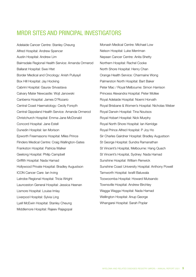## MRDR SITES AND PRINCIPAL INVESTIGATORS

Adelaide Cancer Centre: Stanley Cheung Alfred Hospital: Andrew Spencer Austin Hospital: Andrew Lim Bairnsdale Regional Health Service: Amanda Ormerod Ballarat Hospital: Swe Htet Border Medical and Oncology: Anish Puliyayil Box Hill Hospital: Jay Hocking Cabrini Hospital: Gaurav Srivastava Calvary Mater Newcastle: Wojt Janowski Canberra Hospital: James D'Rozario Central Coast Haematology: Cecily Forsyth Central Gippsland Health Service: Amanda Ormerod Christchurch Hospital: Emma-Jane McDonald Concord Hospital: Jane Estell Dunedin Hospital: Ian Morison Epworth Freemasons Hospital: Miles Prince Flinders Medical Centre: Craig Wallington-Gates Frankston Hospital: Patricia Walker Geelong Hospital: Philip Campbell Griffith Hospital: Nada Hamad Hollywood Private Hospital: Bradley Augustson ICON Cancer Care: Ian Irving Latrobe Regional Hospital: Tricia Wright Launceston General Hospital: Jessica Heenan Lismore Hospital: Louise Imlay Liverpool Hospital: Sylvia Ling Lyell McEwin Hospital: Stanley Cheung Middlemore Hospital: Rajeev Rajagopal

Monash Medical Centre: Michael Low Nelson Hospital: Luke Merriman Nepean Cancer Centre: Anita Shetty Northern Hospital: Rachel Cooke North Shore Hospital: Henry Chan Orange Health Service: Charmaine Wong Palmerston North Hospital: Bart Baker Peter Mac / Royal Melbourne: Simon Harrison Princess Alexandra Hospital: Peter Mollee Royal Adelaide Hospital: Noemi Horvath Royal Brisbane & Women's Hospital: Nicholas Weber Royal Darwin Hospital: Tina Noutsos Royal Hobart Hospital: Nick Murphy Royal North Shore Hospital: Ian Kerridge Royal Prince Alfred Hospital: P Joy Ho Sir Charles Gairdner Hospital: Bradley Augustson St George Hospital: Sundra Ramanathan St Vincent's Hospital, Melbourne: Hang Quach St Vincent's Hospital, Sydney: Nada Hamad Sunshine Hospital: William Renwick Sunshine Coast University Hospital: Anthony Powell Tamworth Hospital: Israfil Baluwala Toowoomba Hospital: Howard Mutsando Townsville Hospital: Andrew Birchley Wagga Wagga Hospital: Nada Hamad Wellington Hospital: Anup George Whangarei Hospital: Sarah Poplar